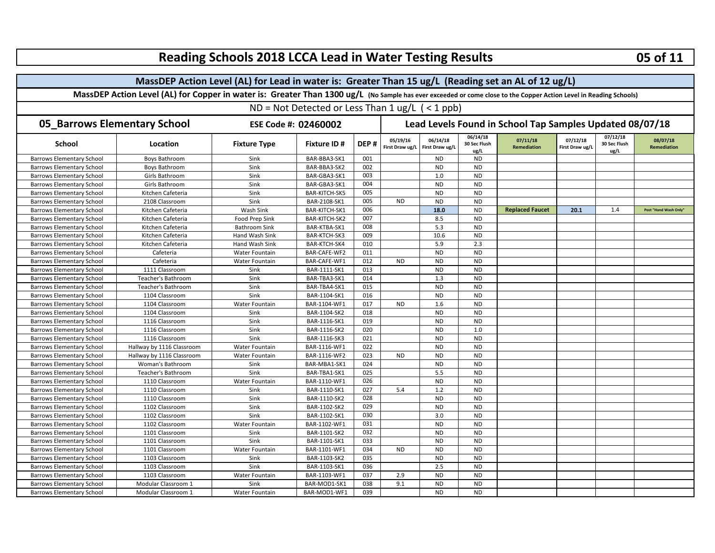| MassDEP Action Level (AL) for Lead in water is: Greater Than 15 ug/L (Reading set an AL of 12 ug/L)                                                                                                                                               |                                                          |                                |  |  |  |  |  |  |  |  |  |  |  |
|---------------------------------------------------------------------------------------------------------------------------------------------------------------------------------------------------------------------------------------------------|----------------------------------------------------------|--------------------------------|--|--|--|--|--|--|--|--|--|--|--|
| MassDEP Action Level (AL) for Copper in water is: Greater Than 1300 ug/L (No Sample has ever exceeded or come close to the Copper Action Level in Reading Schools)                                                                                |                                                          |                                |  |  |  |  |  |  |  |  |  |  |  |
|                                                                                                                                                                                                                                                   |                                                          |                                |  |  |  |  |  |  |  |  |  |  |  |
| ND = Not Detected or Less Than $1 \text{ ug/L}$ ( < 1 ppb)                                                                                                                                                                                        |                                                          |                                |  |  |  |  |  |  |  |  |  |  |  |
| <b>05_Barrows Elementary School</b><br>ESE Code #: 02460002                                                                                                                                                                                       | Lead Levels Found in School Tap Samples Updated 08/07/18 |                                |  |  |  |  |  |  |  |  |  |  |  |
| 06/14/18<br>05/19/16<br>06/14/18<br>07/12/18<br>07/11/18<br>DEP#<br>30 Sec Flush<br><b>School</b><br><b>Fixture Type</b><br><b>Fixture ID#</b><br>Location<br>First Draw ug/L<br>First Draw ug/l<br><b>Remediation</b><br>First Draw ug/L<br>ug/L | 07/12/18<br>30 Sec Flush<br>ug/L                         | 08/07/18<br><b>Remediation</b> |  |  |  |  |  |  |  |  |  |  |  |
| <b>Barrows Elementary School</b><br>BAR-BBA3-SK1<br>001<br><b>ND</b><br>Boys Bathroom<br>Sink<br><b>ND</b>                                                                                                                                        |                                                          |                                |  |  |  |  |  |  |  |  |  |  |  |
| <b>ND</b><br>BAR-BBA3-SK2<br>002<br><b>ND</b><br><b>Barrows Elementary School</b><br><b>Boys Bathroom</b><br>Sink                                                                                                                                 |                                                          |                                |  |  |  |  |  |  |  |  |  |  |  |
| 1.0<br><b>ND</b><br><b>Barrows Elementary School</b><br>Girls Bathroom<br>Sink<br>BAR-GBA3-SK1<br>003                                                                                                                                             |                                                          |                                |  |  |  |  |  |  |  |  |  |  |  |
| 004<br><b>ND</b><br><b>ND</b><br>Sink<br>BAR-GBA3-SK1<br><b>Barrows Elementary School</b><br>Girls Bathroom                                                                                                                                       |                                                          |                                |  |  |  |  |  |  |  |  |  |  |  |
| <b>BAR-KITCH-SK5</b><br><b>ND</b><br><b>ND</b><br><b>Barrows Elementary School</b><br>Kitchen Cafeteria<br>Sink<br>005                                                                                                                            |                                                          |                                |  |  |  |  |  |  |  |  |  |  |  |
| <b>ND</b><br>Sink<br>BAR-2108-SK1<br>005<br><b>ND</b><br><b>Barrows Elementary School</b><br>2108 Classroom<br><b>ND</b>                                                                                                                          |                                                          |                                |  |  |  |  |  |  |  |  |  |  |  |
| 006<br>18.0<br><b>ND</b><br>Wash Sink<br>BAR-KITCH-SK1<br><b>Replaced Faucet</b><br>20.1<br><b>Barrows Elementary School</b><br>Kitchen Cafeteria                                                                                                 | 1.4                                                      | Post "Hand Wash Only"          |  |  |  |  |  |  |  |  |  |  |  |
| <b>BAR-KITCH-SK2</b><br>007<br>8.5<br><b>ND</b><br><b>Barrows Elementary School</b><br>Kitchen Cafeteria<br><b>Food Prep Sink</b>                                                                                                                 |                                                          |                                |  |  |  |  |  |  |  |  |  |  |  |
| <b>ND</b><br>Kitchen Cafeteria<br><b>Bathroom Sink</b><br>BAR-KTBA-SK1<br>008<br>5.3<br><b>Barrows Elementary School</b>                                                                                                                          |                                                          |                                |  |  |  |  |  |  |  |  |  |  |  |
| 009<br><b>Barrows Elementary School</b><br>Kitchen Cafeteria<br>Hand Wash Sink<br>BAR-KTCH-SK3<br>10.6<br><b>ND</b>                                                                                                                               |                                                          |                                |  |  |  |  |  |  |  |  |  |  |  |
| 010<br>5.9<br>2.3<br><b>Barrows Elementary School</b><br>Kitchen Cafeteria<br>Hand Wash Sink<br>BAR-KTCH-SK4                                                                                                                                      |                                                          |                                |  |  |  |  |  |  |  |  |  |  |  |
| BAR-CAFE-WF2<br>011<br><b>ND</b><br><b>ND</b><br><b>Barrows Elementary School</b><br>Cafeteria<br>Water Fountain                                                                                                                                  |                                                          |                                |  |  |  |  |  |  |  |  |  |  |  |
| 012<br><b>ND</b><br><b>ND</b><br><b>Barrows Elementary School</b><br>Cafeteria<br>Water Fountain<br>BAR-CAFE-WF1<br><b>ND</b>                                                                                                                     |                                                          |                                |  |  |  |  |  |  |  |  |  |  |  |
| 013<br><b>ND</b><br><b>ND</b><br><b>Barrows Elementary School</b><br>1111 Classroom<br>Sink<br>BAR-1111-SK1                                                                                                                                       |                                                          |                                |  |  |  |  |  |  |  |  |  |  |  |
| <b>ND</b><br>Sink<br>BAR-TBA3-SK1<br>014<br>1.3<br><b>Barrows Elementary School</b><br>Teacher's Bathroom                                                                                                                                         |                                                          |                                |  |  |  |  |  |  |  |  |  |  |  |
| 015<br><b>ND</b><br><b>ND</b><br><b>Barrows Elementary School</b><br>Teacher's Bathroom<br>Sink<br>BAR-TBA4-SK1                                                                                                                                   |                                                          |                                |  |  |  |  |  |  |  |  |  |  |  |
| 016<br><b>ND</b><br><b>Barrows Elementary School</b><br>1104 Classroom<br>Sink<br>BAR-1104-SK1<br><b>ND</b>                                                                                                                                       |                                                          |                                |  |  |  |  |  |  |  |  |  |  |  |
| 017<br>1.6<br><b>ND</b><br>BAR-1104-WF1<br><b>ND</b><br><b>Barrows Elementary School</b><br>1104 Classroom<br><b>Water Fountain</b>                                                                                                               |                                                          |                                |  |  |  |  |  |  |  |  |  |  |  |
| 018<br><b>ND</b><br><b>ND</b><br><b>Barrows Elementary School</b><br>1104 Classroom<br>Sink<br>BAR-1104-SK2                                                                                                                                       |                                                          |                                |  |  |  |  |  |  |  |  |  |  |  |
| <b>ND</b><br><b>ND</b><br>1116 Classroom<br>BAR-1116-SK1<br>019<br><b>Barrows Elementary School</b><br>Sink                                                                                                                                       |                                                          |                                |  |  |  |  |  |  |  |  |  |  |  |
| 020<br>1116 Classroom<br>Sink<br>BAR-1116-SK2<br><b>ND</b><br>1.0<br><b>Barrows Elementary School</b>                                                                                                                                             |                                                          |                                |  |  |  |  |  |  |  |  |  |  |  |
| Sink<br>BAR-1116-SK3<br>021<br><b>ND</b><br><b>ND</b><br><b>Barrows Elementary School</b><br>1116 Classroom                                                                                                                                       |                                                          |                                |  |  |  |  |  |  |  |  |  |  |  |
| 022<br><b>ND</b><br>Hallway by 1116 Classroom<br>BAR-1116-WF1<br><b>ND</b><br><b>Barrows Elementary School</b><br>Water Fountain                                                                                                                  |                                                          |                                |  |  |  |  |  |  |  |  |  |  |  |
| 023<br>Hallway by 1116 Classroom<br>BAR-1116-WF2<br><b>ND</b><br><b>ND</b><br><b>ND</b><br><b>Barrows Elementary School</b><br>Water Fountain                                                                                                     |                                                          |                                |  |  |  |  |  |  |  |  |  |  |  |
| 024<br><b>ND</b><br><b>ND</b><br><b>Barrows Elementary School</b><br>Woman's Bathroom<br>Sink<br>BAR-MBA1-SK1                                                                                                                                     |                                                          |                                |  |  |  |  |  |  |  |  |  |  |  |
| 5.5<br>Sink<br>BAR-TBA1-SK1<br>025<br><b>ND</b><br><b>Barrows Elementary School</b><br>Teacher's Bathroom                                                                                                                                         |                                                          |                                |  |  |  |  |  |  |  |  |  |  |  |
| BAR-1110-WF1<br>026<br><b>ND</b><br><b>ND</b><br><b>Barrows Elementary School</b><br>1110 Classroom<br>Water Fountain                                                                                                                             |                                                          |                                |  |  |  |  |  |  |  |  |  |  |  |
| 027<br>5.4<br>1.2<br><b>ND</b><br><b>Barrows Elementary School</b><br>1110 Classroom<br>Sink<br>BAR-1110-SK1                                                                                                                                      |                                                          |                                |  |  |  |  |  |  |  |  |  |  |  |
| 028<br><b>ND</b><br><b>ND</b><br>Sink<br>BAR-1110-SK2<br><b>Barrows Elementary School</b><br>1110 Classroom                                                                                                                                       |                                                          |                                |  |  |  |  |  |  |  |  |  |  |  |
| BAR-1102-SK2<br>029<br><b>ND</b><br><b>ND</b><br><b>Barrows Elementary School</b><br>1102 Classroom<br>Sink                                                                                                                                       |                                                          |                                |  |  |  |  |  |  |  |  |  |  |  |
| BAR-1102-SK1<br>030<br>3.0<br><b>ND</b><br><b>Barrows Elementary School</b><br>1102 Classroom<br>Sink                                                                                                                                             |                                                          |                                |  |  |  |  |  |  |  |  |  |  |  |
| <b>Barrows Elementary School</b><br>1102 Classroom<br>BAR-1102-WF1<br>031<br><b>ND</b><br><b>ND</b><br>Water Fountain                                                                                                                             |                                                          |                                |  |  |  |  |  |  |  |  |  |  |  |
| 032<br><b>ND</b><br><b>ND</b><br><b>Barrows Elementary School</b><br>1101 Classroom<br>Sink<br>BAR-1101-SK2                                                                                                                                       |                                                          |                                |  |  |  |  |  |  |  |  |  |  |  |
| <b>ND</b><br><b>ND</b><br><b>Barrows Elementary School</b><br>1101 Classroom<br>BAR-1101-SK1<br>033<br>Sink                                                                                                                                       |                                                          |                                |  |  |  |  |  |  |  |  |  |  |  |
| 034<br><b>ND</b><br><b>ND</b><br><b>ND</b><br><b>Barrows Elementary School</b><br>1101 Classroom<br>Water Fountain<br>BAR-1101-WF1                                                                                                                |                                                          |                                |  |  |  |  |  |  |  |  |  |  |  |
| BAR-1103-SK2<br>035<br><b>ND</b><br><b>ND</b><br><b>Barrows Elementary School</b><br>1103 Classroom<br>Sink                                                                                                                                       |                                                          |                                |  |  |  |  |  |  |  |  |  |  |  |
| 036<br>2.5<br><b>ND</b><br>1103 Classroom<br>Sink<br>BAR-1103-SK1<br><b>Barrows Elementary School</b>                                                                                                                                             |                                                          |                                |  |  |  |  |  |  |  |  |  |  |  |
| 037<br><b>ND</b><br><b>ND</b><br><b>Barrows Elementary School</b><br>1103 Classroom<br>Water Fountain<br>BAR-1103-WF1<br>2.9                                                                                                                      |                                                          |                                |  |  |  |  |  |  |  |  |  |  |  |
| 038<br>9.1<br><b>ND</b><br><b>ND</b><br><b>Barrows Elementary School</b><br>Modular Classroom 1<br>Sink<br>BAR-MOD1-SK1                                                                                                                           |                                                          |                                |  |  |  |  |  |  |  |  |  |  |  |
| 039<br>Modular Classroom 1<br>BAR-MOD1-WF1<br><b>ND</b><br><b>ND</b><br><b>Barrows Elementary School</b><br><b>Water Fountain</b>                                                                                                                 |                                                          |                                |  |  |  |  |  |  |  |  |  |  |  |